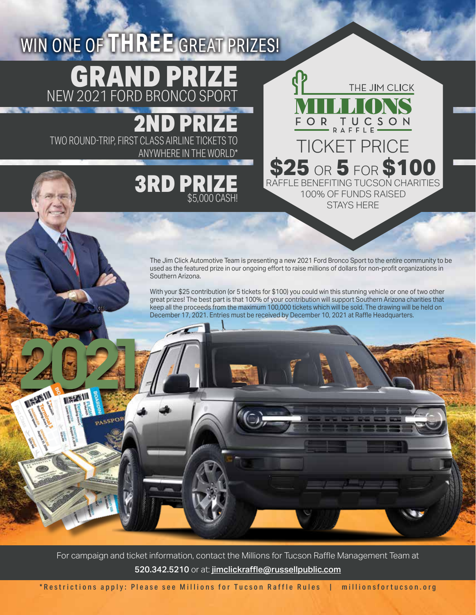## WIN ONE OF **THREE** GREAT PRIZES! GRAND PRIZE NEW 2021 FORD BRONCO SPORT

2ND TWO ROUND-TRIP, FIRST CLASS AIRLINE TICKETS TO CLASS AIRLINE TICKETS TO TICKET PRICE

**INSECTIV** 

## 3RD PRIZE \$5,000 CASH!

**\$25** or **5** for **\$100** RAFFLE BENEFITING TUCSON CHARITIES 100% OF FUNDS RAISED STAYS HERE

FOR TUCSON

THE JIM CLICK

The Jim Click Automotive Team is presenting a new 2021 Ford Bronco Sport to the entire community to be used as the featured prize in our ongoing effort to raise millions of dollars for non-profit organizations in Southern Arizona.

With your \$25 contribution (or 5 tickets for \$100) you could win this stunning vehicle or one of two other great prizes! The best part is that 100% of your contribution will support Southern Arizona charities that keep all the proceeds from the maximum 100,000 tickets which will be sold. The drawing will be held on December 17, 2021. Entries must be received by December 10, 2021 at Raffle Headquarters.

For campaign and ticket information, contact the Millions for Tucson Raffle Management Team at 520.342.5210 or at: jimclickraffle@russellpublic.com

\*Restrictions apply: Please see Millions for Tucson Raffle Rules | millionsfortucson.org